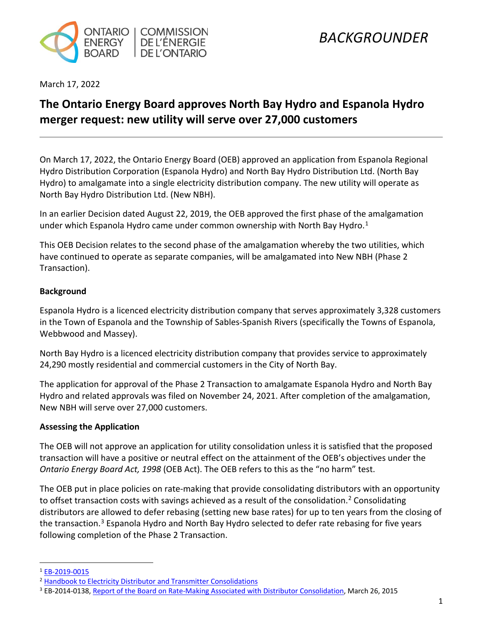

March 17, 2022

## **The Ontario Energy Board approves North Bay Hydro and Espanola Hydro merger request: new utility will serve over 27,000 customers**

On March 17, 2022, the Ontario Energy Board (OEB) approved an application from Espanola Regional Hydro Distribution Corporation (Espanola Hydro) and North Bay Hydro Distribution Ltd. (North Bay Hydro) to amalgamate into a single electricity distribution company. The new utility will operate as North Bay Hydro Distribution Ltd. (New NBH).

In an earlier Decision dated August 22, 2019, the OEB approved the first phase of the amalgamation under which Espanola Hydro came under common ownership with North Bay Hydro.<sup>[1](#page-0-0)</sup>

This OEB Decision relates to the second phase of the amalgamation whereby the two utilities, which have continued to operate as separate companies, will be amalgamated into New NBH (Phase 2 Transaction).

#### **Background**

Espanola Hydro is a licenced electricity distribution company that serves approximately 3,328 customers in the Town of Espanola and the Township of Sables-Spanish Rivers (specifically the Towns of Espanola, Webbwood and Massey).

North Bay Hydro is a licenced electricity distribution company that provides service to approximately 24,290 mostly residential and commercial customers in the City of North Bay.

The application for approval of the Phase 2 Transaction to amalgamate Espanola Hydro and North Bay Hydro and related approvals was filed on November 24, 2021. After completion of the amalgamation, New NBH will serve over 27,000 customers.

#### **Assessing the Application**

The OEB will not approve an application for utility consolidation unless it is satisfied that the proposed transaction will have a positive or neutral effect on the attainment of the OEB's objectives under the *Ontario Energy Board Act, 1998* (OEB Act). The OEB refers to this as the "no harm" test.

The OEB put in place policies on rate-making that provide consolidating distributors with an opportunity to offset transaction costs with savings achieved as a result of the consolidation.<sup>2</sup> Consolidating distributors are allowed to defer rebasing (setting new base rates) for up to ten years from the closing of the transaction.<sup>[3](#page-0-2)</sup> Espanola Hydro and North Bay Hydro selected to defer rate rebasing for five years following completion of the Phase 2 Transaction.

<span id="page-0-0"></span><sup>1</sup> [EB-2019-0015](https://www.rds.oeb.ca/CMWebDrawer/Record/650503/File/document)

<span id="page-0-2"></span><span id="page-0-1"></span><sup>&</sup>lt;sup>2</sup> Handbook to Electricity Distributor and Transmitter Consolidations<br><sup>3</sup> EB-2014-0138[, Report of the Board on Rate-Making Associated with Distributor Consolidation,](https://www.oeb.ca/oeb/_Documents/EB-2014-0138/Board_Report_MAADs_Ratemaking_20150326.pdf) March 26, 2015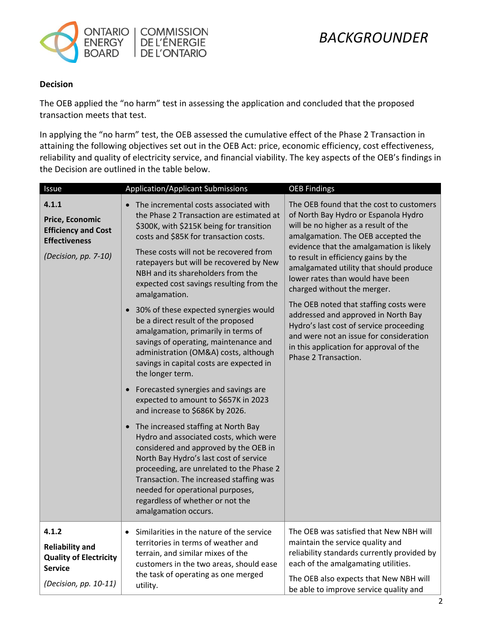

#### **Decision**

The OEB applied the "no harm" test in assessing the application and concluded that the proposed transaction meets that test.

In applying the "no harm" test, the OEB assessed the cumulative effect of the Phase 2 Transaction in attaining the following objectives set out in the OEB Act: price, economic efficiency, cost effectiveness, reliability and quality of electricity service, and financial viability. The key aspects of the OEB's findings in the Decision are outlined in the table below.

| Issue                                                                                                       | <b>Application/Applicant Submissions</b>                                                                                                                                                                                                                                                                                                                                                                                                                                                                                                                                                                                                                                                                                                                                                                                                                                                                                                                                                                                                                                                                               | <b>OEB Findings</b>                                                                                                                                                                                                                                                                                                                                                                                                                                                                                                                                                                                        |
|-------------------------------------------------------------------------------------------------------------|------------------------------------------------------------------------------------------------------------------------------------------------------------------------------------------------------------------------------------------------------------------------------------------------------------------------------------------------------------------------------------------------------------------------------------------------------------------------------------------------------------------------------------------------------------------------------------------------------------------------------------------------------------------------------------------------------------------------------------------------------------------------------------------------------------------------------------------------------------------------------------------------------------------------------------------------------------------------------------------------------------------------------------------------------------------------------------------------------------------------|------------------------------------------------------------------------------------------------------------------------------------------------------------------------------------------------------------------------------------------------------------------------------------------------------------------------------------------------------------------------------------------------------------------------------------------------------------------------------------------------------------------------------------------------------------------------------------------------------------|
| 4.1.1<br>Price, Economic<br><b>Efficiency and Cost</b><br><b>Effectiveness</b><br>(Decision, pp. 7-10)      | The incremental costs associated with<br>the Phase 2 Transaction are estimated at<br>\$300K, with \$215K being for transition<br>costs and \$85K for transaction costs.<br>These costs will not be recovered from<br>ratepayers but will be recovered by New<br>NBH and its shareholders from the<br>expected cost savings resulting from the<br>amalgamation.<br>30% of these expected synergies would<br>be a direct result of the proposed<br>amalgamation, primarily in terms of<br>savings of operating, maintenance and<br>administration (OM&A) costs, although<br>savings in capital costs are expected in<br>the longer term.<br>Forecasted synergies and savings are<br>expected to amount to \$657K in 2023<br>and increase to \$686K by 2026.<br>• The increased staffing at North Bay<br>Hydro and associated costs, which were<br>considered and approved by the OEB in<br>North Bay Hydro's last cost of service<br>proceeding, are unrelated to the Phase 2<br>Transaction. The increased staffing was<br>needed for operational purposes,<br>regardless of whether or not the<br>amalgamation occurs. | The OEB found that the cost to customers<br>of North Bay Hydro or Espanola Hydro<br>will be no higher as a result of the<br>amalgamation. The OEB accepted the<br>evidence that the amalgamation is likely<br>to result in efficiency gains by the<br>amalgamated utility that should produce<br>lower rates than would have been<br>charged without the merger.<br>The OEB noted that staffing costs were<br>addressed and approved in North Bay<br>Hydro's last cost of service proceeding<br>and were not an issue for consideration<br>in this application for approval of the<br>Phase 2 Transaction. |
|                                                                                                             |                                                                                                                                                                                                                                                                                                                                                                                                                                                                                                                                                                                                                                                                                                                                                                                                                                                                                                                                                                                                                                                                                                                        |                                                                                                                                                                                                                                                                                                                                                                                                                                                                                                                                                                                                            |
| 4.1.2<br><b>Reliability and</b><br><b>Quality of Electricity</b><br><b>Service</b><br>(Decision, pp. 10-11) | Similarities in the nature of the service<br>$\bullet$<br>territories in terms of weather and<br>terrain, and similar mixes of the<br>customers in the two areas, should ease<br>the task of operating as one merged<br>utility.                                                                                                                                                                                                                                                                                                                                                                                                                                                                                                                                                                                                                                                                                                                                                                                                                                                                                       | The OEB was satisfied that New NBH will<br>maintain the service quality and<br>reliability standards currently provided by<br>each of the amalgamating utilities.<br>The OEB also expects that New NBH will<br>be able to improve service quality and                                                                                                                                                                                                                                                                                                                                                      |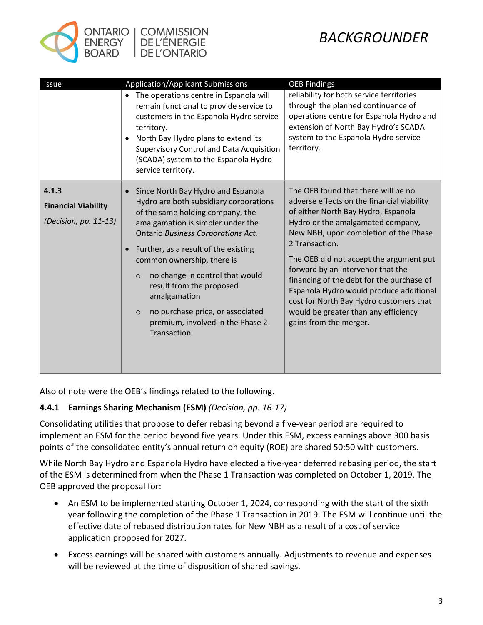

# *BACKGROUNDER*

| Issue                                                        | <b>Application/Applicant Submissions</b>                                                                                                                                                                                                                                                                                                                                                                                                                      | <b>OEB Findings</b>                                                                                                                                                                                                                                                                                                                                                                                                                                                                                           |
|--------------------------------------------------------------|---------------------------------------------------------------------------------------------------------------------------------------------------------------------------------------------------------------------------------------------------------------------------------------------------------------------------------------------------------------------------------------------------------------------------------------------------------------|---------------------------------------------------------------------------------------------------------------------------------------------------------------------------------------------------------------------------------------------------------------------------------------------------------------------------------------------------------------------------------------------------------------------------------------------------------------------------------------------------------------|
|                                                              | The operations centre in Espanola will<br>$\bullet$<br>remain functional to provide service to<br>customers in the Espanola Hydro service<br>territory.<br>North Bay Hydro plans to extend its<br><b>Supervisory Control and Data Acquisition</b><br>(SCADA) system to the Espanola Hydro<br>service territory.                                                                                                                                               | reliability for both service territories<br>through the planned continuance of<br>operations centre for Espanola Hydro and<br>extension of North Bay Hydro's SCADA<br>system to the Espanola Hydro service<br>territory.                                                                                                                                                                                                                                                                                      |
| 4.1.3<br><b>Financial Viability</b><br>(Decision, pp. 11-13) | Since North Bay Hydro and Espanola<br>Hydro are both subsidiary corporations<br>of the same holding company, the<br>amalgamation is simpler under the<br>Ontario Business Corporations Act.<br>Further, as a result of the existing<br>common ownership, there is<br>no change in control that would<br>$\circ$<br>result from the proposed<br>amalgamation<br>no purchase price, or associated<br>$\circ$<br>premium, involved in the Phase 2<br>Transaction | The OEB found that there will be no<br>adverse effects on the financial viability<br>of either North Bay Hydro, Espanola<br>Hydro or the amalgamated company,<br>New NBH, upon completion of the Phase<br>2 Transaction.<br>The OEB did not accept the argument put<br>forward by an intervenor that the<br>financing of the debt for the purchase of<br>Espanola Hydro would produce additional<br>cost for North Bay Hydro customers that<br>would be greater than any efficiency<br>gains from the merger. |

Also of note were the OEB's findings related to the following.

### **4.4.1 Earnings Sharing Mechanism (ESM)** *(Decision, pp. 16-17)*

Consolidating utilities that propose to defer rebasing beyond a five-year period are required to implement an ESM for the period beyond five years. Under this ESM, excess earnings above 300 basis points of the consolidated entity's annual return on equity (ROE) are shared 50:50 with customers.

While North Bay Hydro and Espanola Hydro have elected a five-year deferred rebasing period, the start of the ESM is determined from when the Phase 1 Transaction was completed on October 1, 2019. The OEB approved the proposal for:

- An ESM to be implemented starting October 1, 2024, corresponding with the start of the sixth year following the completion of the Phase 1 Transaction in 2019. The ESM will continue until the effective date of rebased distribution rates for New NBH as a result of a cost of service application proposed for 2027.
- Excess earnings will be shared with customers annually. Adjustments to revenue and expenses will be reviewed at the time of disposition of shared savings.